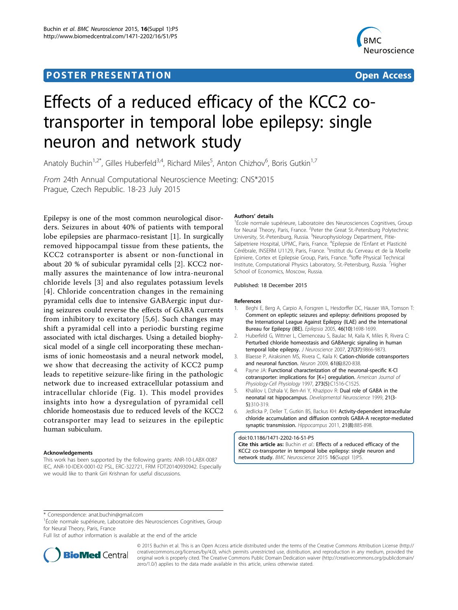# Post Experimental Police in the St English Police in the St English Police in the St English Police in the St<br>Police in the St English Police in the St English Police in the St English Police in the St English Police in



# Effects of a reduced efficacy of the KCC2 cotransporter in temporal lobe epilepsy: single neuron and network study

Anatoly Buchin<sup>1,2\*</sup>, Gilles Huberfeld<sup>3,4</sup>, Richard Miles<sup>5</sup>, Anton Chizhov<sup>6</sup>, Boris Gutkin<sup>1,7</sup>

From 24th Annual Computational Neuroscience Meeting: CNS\*2015 Prague, Czech Republic. 18-23 July 2015

Epilepsy is one of the most common neurological disorders. Seizures in about 40% of patients with temporal lobe epilepsies are pharmaco-resistant [1]. In surgically removed hippocampal tissue from these patients, the KCC2 cotransporter is absent or non-functional in about 20 % of subicular pyramidal cells [2]. KCC2 normally assures the maintenance of low intra-neuronal chloride levels [3] and also regulates potassium levels [4]. Chloride concentration changes in the remaining pyramidal cells due to intensive GABAergic input during seizures could reverse the effects of GABA currents from inhibitory to excitatory [5,6]. Such changes may shift a pyramidal cell into a periodic bursting regime associated with ictal discharges. Using a detailed biophysical model of a single cell incorporating these mechanisms of ionic homeostasis and a neural network model, we show that decreasing the activity of KCC2 pump leads to repetitive seizure-like firing in the pathologic network due to increased extracellular potassium and intracellular chloride (Fig. [1](#page-1-0)). This model provides insights into how a dysregulation of pyramidal cell chloride homeostasis due to reduced levels of the KCC2 cotransporter may lead to seizures in the epileptic human subiculum.

### Acknowledgements

This work has been supported by the following grants: ANR-10-LABX-0087 IEC, ANR-10-IDEX-0001-02 PSL, ERC-322721, FRM FDT20140930942. Especially we would like to thank Giri Krishnan for useful discussions.

#### Authors' details <sup>1</sup>

<sup>1</sup>École normale supérieure, Laboratoire des Neurosciences Cognitives, Group for Neural Theory, Paris, France. <sup>2</sup>Peter the Great St.-Petersburg Polytechnic University, St.-Petersburg, Russia. <sup>3</sup>Neurophysiology Department, Pitie-Salpetriere Hospital, UPMC, Paris, France. <sup>4</sup>Epilepsie de l'Enfant et Plasticité Cérébrale, INSERM U1129, Paris, France. <sup>5</sup>Institut du Cerveau et de la Moelle Epiniere, Cortex et Epilepsie Group, Paris, France. <sup>6</sup>loffe Physical Technical Institute, Computational Physics Laboratory, St.-Petersburg, Russia. <sup>7</sup>Higher School of Economics, Moscow, Russia.

## Published: 18 December 2015

#### References

- Beghi E, Berg A, Carpio A, Forsgren L, Hesdorffer DC, Hauser WA, Tomson T: Comment on epileptic seizures and epilepsy: definitions proposed by the International League Against Epilepsy (ILAE) and the International Bureau for Epilepsy (IBE). Epilepsia 2005, 46(10):1698-1699.
- 2. Huberfeld G, Wittner L, Clemenceau S, Baulac M, Kaila K, Miles R, Rivera C: Perturbed chloride homeostasis and GABAergic signaling in human temporal lobe epilepsy. J Neuroscience 2007, 27(37):9866-9873.
- 3. Blaesse P, Airaksinen MS, Rivera C, Kaila K: Cation-chloride cotransporters and neuronal function. Neuron 2009, 61(6):820-838.
- 4. Payne JA: Functional characterization of the neuronal-specific K-Cl cotransporter: implications for [K+] oregulation. American Journal of Physiology-Cell Physiology 1997, 273(5):C1516-C1525.
- 5. Khalilov I, Dzhala V, Ben-Ari Y, Khazipov R: Dual role of GABA in the neonatal rat hippocampus. Developmental Neuroscience 1999, 21(3- 5):310-319.
- 6. Jedlicka P, Deller T, Gutkin BS, Backus KH: Activity-dependent intracellular chloride accumulation and diffusion controls GABA-A receptor-mediated synaptic transmission. Hippocampus 2011, 21(8):885-898.

#### doi:10.1186/1471-2202-16-S1-P5

Cite this article as: Buchin et al.: Effects of a reduced efficacy of the KCC2 co-transporter in temporal lobe epilepsy: single neuron and network study. BMC Neuroscience <sup>2015</sup> <sup>16</sup>(Suppl 1):P5.

<sup>1</sup>École normale supérieure, Laboratoire des Neurosciences Cognitives, Group for Neural Theory, Paris, France

Full list of author information is available at the end of the article



© 2015 Buchin et al. This is an Open Access article distributed under the terms of the Creative Commons Attribution License [\(http://](http://creativecommons.org/licenses/by/4.0) [creativecommons.org/licenses/by/4.0](http://creativecommons.org/licenses/by/4.0)), which permits unrestricted use, distribution, and reproduction in any medium, provided the original work is properly cited. The Creative Commons Public Domain Dedication waiver ([http://creativecommons.org/publicdomain/](http://creativecommons.org/publicdomain/zero/1.0/) [zero/1.0/](http://creativecommons.org/publicdomain/zero/1.0/)) applies to the data made available in this article, unless otherwise stated.

<sup>\*</sup> Correspondence: [anat.buchin@gmail.com](mailto:anat.buchin@gmail.com)